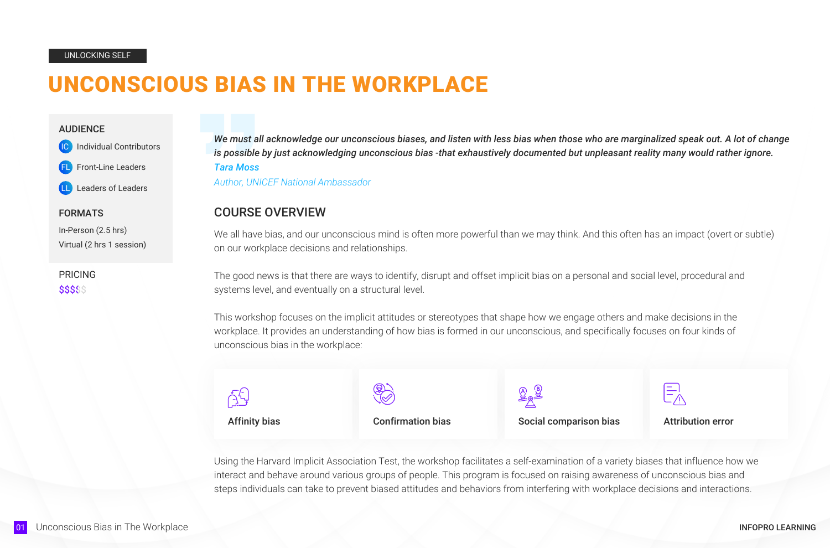# UNCONSCIOUS BIAS IN THE WORKPLACE

*We must all acknowledge our unconscious biases, and listen with less bias when those who are marginalized speak out. A lot of change is possible by just acknowledging unconscious bias -that exhaustively documented but unpleasant reality many would rather ignore. Tara Moss*

*Author, UNICEF National Ambassador*

#### UNLOCKING SELF

#### AUDIENCE

**Individual Contributors** 

Front-Line Leaders

Leaders of Leaders

#### FORMATS

In-Person (2.5 hrs) Virtual (2 hrs 1 session)

## COURSE OVERVIEW

We all have bias, and our unconscious mind is often more powerful than we may think. And this often has an impact (overt or subtle) on our workplace decisions and relationships.

PRICING\$\$\$\$\$

The good news is that there are ways to identify, disrupt and offset implicit bias on a personal and social level, procedural and systems level, and eventually on a structural level.

This workshop focuses on the implicit attitudes or stereotypes that shape how we engage others and make decisions in the workplace. It provides an understanding of how bias is formed in our unconscious, and specifically focuses on four kinds of unconscious bias in the workplace:



Using the Harvard Implicit Association Test, the workshop facilitates a self-examination of a variety biases that influence how we interact and behave around various groups of people. This program is focused on raising awareness of unconscious bias and steps individuals can take to prevent biased attitudes and behaviors from interfering with workplace decisions and interactions.

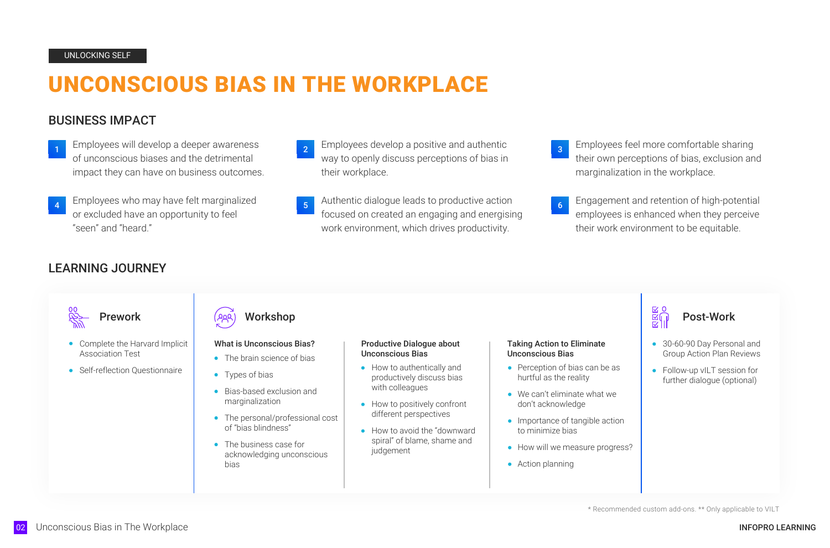# UNCONSCIOUS BIAS IN THE WORKPLACE

# BUSINESS IMPACT

- 1 Employees will develop a deeper awareness 2 Employees develop a positive and authentic of unconscious biases and the detrimental impact they can have on business outcomes.
- Employees who may have felt marginalized or excluded have an opportunity to feel "seen" and "heard."
- way to openly discuss perceptions of bias in their workplace. 2 Employees develop a positive and authentic and an explore the space of the sharing states of the sharing
- 4 Employees who may have felt marginalized a set of authentic dialogue leads to productive action and and retention of high-potential focused on created an engaging and energising work environment, which drives productivity.

their own perceptions of bias, exclusion and marginalization in the workplace.

3

- The brain science of bias
- Types of bias
- Bias-based exclusion and marginalization
- The personal/professional cost of "bias blindness"
- The business case for acknowledging unconscious bias
- How to authentically and productively discuss bias with colleagues
- How to positively confront different perspectives
- How to avoid the "downward" spiral" of blame, shame and judgement

employees is enhanced when they perceive their work environment to be equitable.

6

# LEARNING JOURNEY



- Complete the Harvard Implicit Association Test
- Self-reflection Ouestionnaire





\* Recommended custom add-ons. \*\* Only applicable to VILT

#### What is Unconscious Bias?

#### Productive Dialogue about Unconscious Bias

#### Taking Action to Eliminate Unconscious Bias

- Perception of bias can be as hurtful as the reality
- We can't eliminate what we don't acknowledge
- Importance of tangible action to minimize bias
- How will we measure progress?
- Action planning